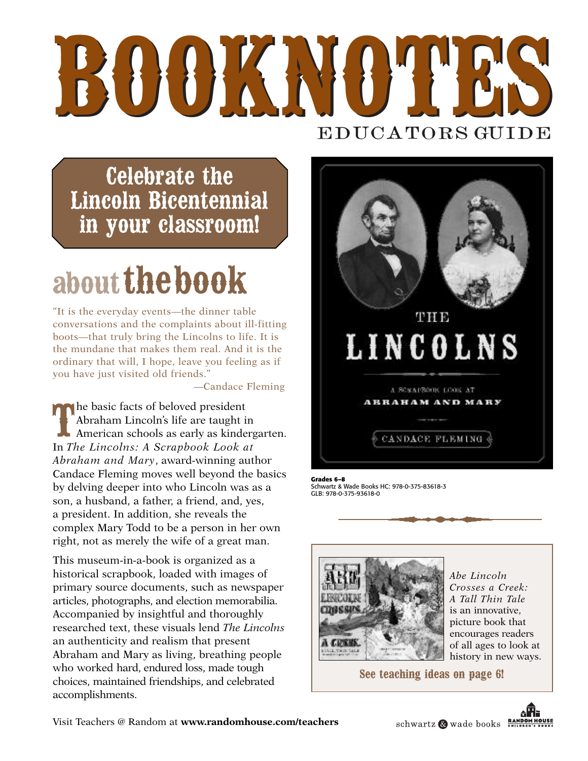# **BOOKNOTES BOOKNOTES** E D U CA TORS GUIDE

**Celebrate the Lincoln Bicentennial in your classroom!**

## **aboutthebook**

"It is the everyday events—the dinner table conversations and the complaints about ill-fitting boots—that truly bring the Lincolns to life. It is the mundane that makes them real. And it is the ordinary that will, I hope, leave you feeling as if you have just visited old friends."

—Candace Fleming

**T** he basic facts of beloved president Abraham Lincoln's life are taught in American schools as early as kindergarten. In *The Lincolns: A Scrapbook Look at Abraham and Mary*, award-winning author Candace Fleming moves well beyond the basics by delving deeper into who Lincoln was as a son, a husband, a father, a friend, and, yes, a president. In addition, she reveals the complex Mary Todd to be a person in her own right, not as merely the wife of a great man.

This museum-in-a-book is organized as a historical scrapbook, loaded with images of primary source documents, such as newspaper articles, photographs, and election memorabilia. Accompanied by insightful and thoroughly researched text, these visuals lend *The Lincolns* an authenticity and realism that present Abraham and Mary as living, breathing people who worked hard, endured loss, made tough choices, maintained friendships, and celebrated accomplishments.



**Grades 6–8** Schwartz & Wade Books HC: 978-0-375-83618-3 GLB: 978-0-375-93618-0



*Abe Lincoln Crosses a Creek: A Tall Thin Tale* is an innovative, picture book that encourages readers of all ages to look at history in new ways.

**See teaching ideas on page 6!**



schwartz Wwade books RANDOM HOUSE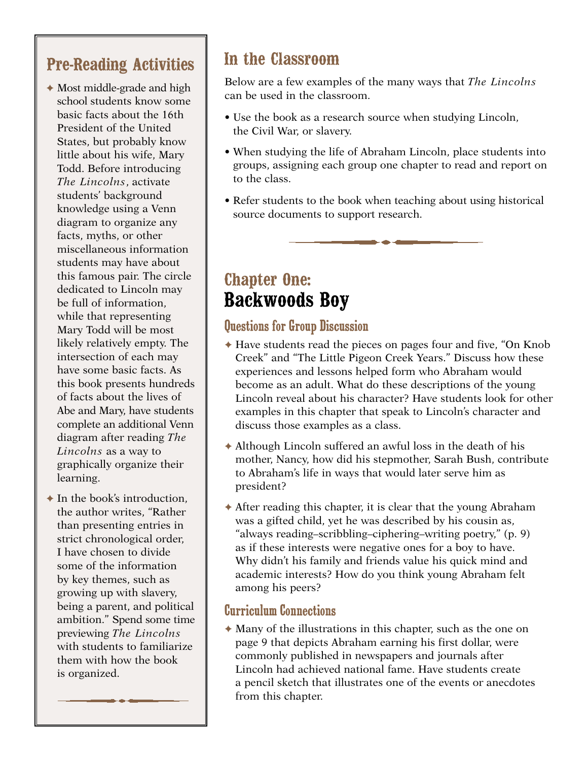### **Pre-Reading Activities**

- ✦ Most middle-grade and high school students know some basic facts about the 16th President of the United States, but probably know little about his wife, Mary Todd. Before introducing *The Lincolns*, activate students' background knowledge using a Venn diagram to organize any facts, myths, or other miscellaneous information students may have about this famous pair. The circle dedicated to Lincoln may be full of information, while that representing Mary Todd will be most likely relatively empty. The intersection of each may have some basic facts. As this book presents hundreds of facts about the lives of Abe and Mary, have students complete an additional Venn diagram after reading *The Lincolns* as a way to graphically organize their learning.
- $\triangle$  In the book's introduction. the author writes, "Rather than presenting entries in strict chronological order, I have chosen to divide some of the information by key themes, such as growing up with slavery, being a parent, and political ambition." Spend some time previewing *The Lincolns* with students to familiarize them with how the book is organized.

### **In the Classroom**

Below are a few examples of the many ways that *The Lincolns* can be used in the classroom.

- Use the book as a research source when studying Lincoln, the Civil War, or slavery.
- When studying the life of Abraham Lincoln, place students into groups, assigning each group one chapter to read and report on to the class.
- Refer students to the book when teaching about using historical source documents to support research.

## **Chapter One: Backwoods Boy**

#### Questions for Group Discussion

- ✦ Have students read the pieces on pages four and five, "On Knob Creek" and "The Little Pigeon Creek Years." Discuss how these experiences and lessons helped form who Abraham would become as an adult. What do these descriptions of the young Lincoln reveal about his character? Have students look for other examples in this chapter that speak to Lincoln's character and discuss those examples as a class.
- $\triangle$  Although Lincoln suffered an awful loss in the death of his mother, Nancy, how did his stepmother, Sarah Bush, contribute to Abraham's life in ways that would later serve him as president?
- ✦ After reading this chapter, it is clear that the young Abraham was a gifted child, yet he was described by his cousin as, "always reading–scribbling–ciphering–writing poetry," (p. 9) as if these interests were negative ones for a boy to have. Why didn't his family and friends value his quick mind and academic interests? How do you think young Abraham felt among his peers?

#### Curriculum Connections

 $\triangle$  Many of the illustrations in this chapter, such as the one on page 9 that depicts Abraham earning his first dollar, were commonly published in newspapers and journals after Lincoln had achieved national fame. Have students create a pencil sketch that illustrates one of the events or anecdotes from this chapter.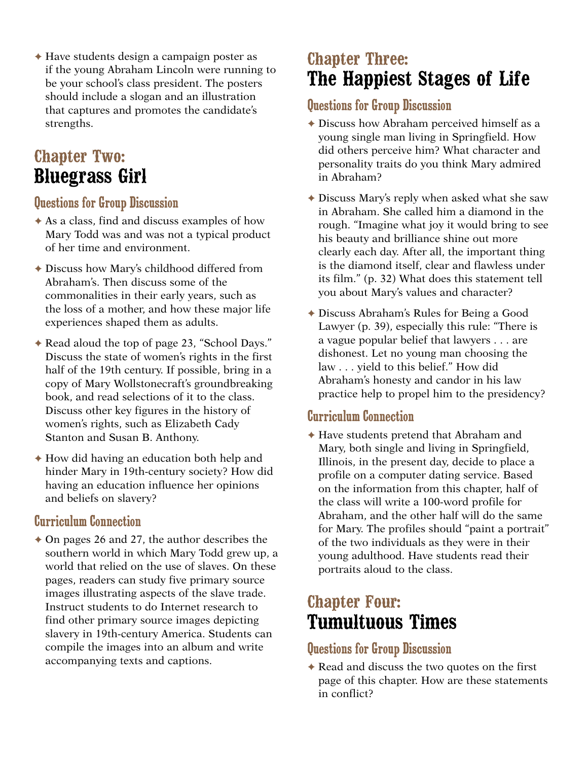✦ Have students design a campaign poster as if the young Abraham Lincoln were running to be your school's class president. The posters should include a slogan and an illustration that captures and promotes the candidate's strengths.

## **Chapter Two: Bluegrass Girl**

#### Questions for Group Discussion

- ✦ As a class, find and discuss examples of how Mary Todd was and was not a typical product of her time and environment.
- ✦ Discuss how Mary's childhood differed from Abraham's. Then discuss some of the commonalities in their early years, such as the loss of a mother, and how these major life experiences shaped them as adults.
- ✦ Read aloud the top of page 23, "School Days." Discuss the state of women's rights in the first half of the 19th century. If possible, bring in a copy of Mary Wollstonecraft's groundbreaking book, and read selections of it to the class. Discuss other key figures in the history of women's rights, such as Elizabeth Cady Stanton and Susan B. Anthony.
- ✦ How did having an education both help and hinder Mary in 19th-century society? How did having an education influence her opinions and beliefs on slavery?

#### Curriculum Connection

 $\triangle$  On pages 26 and 27, the author describes the southern world in which Mary Todd grew up, a world that relied on the use of slaves. On these pages, readers can study five primary source images illustrating aspects of the slave trade. Instruct students to do Internet research to find other primary source images depicting slavery in 19th-century America. Students can compile the images into an album and write accompanying texts and captions.

## **Chapter Three: The Happiest Stages of Life**

#### Questions for Group Discussion

- ✦ Discuss how Abraham perceived himself as a young single man living in Springfield. How did others perceive him? What character and personality traits do you think Mary admired in Abraham?
- ✦ Discuss Mary's reply when asked what she saw in Abraham. She called him a diamond in the rough. "Imagine what joy it would bring to see his beauty and brilliance shine out more clearly each day. After all, the important thing is the diamond itself, clear and flawless under its film." (p. 32) What does this statement tell you about Mary's values and character?
- ✦ Discuss Abraham's Rules for Being a Good Lawyer (p. 39), especially this rule: "There is a vague popular belief that lawyers . . . are dishonest. Let no young man choosing the law . . . yield to this belief." How did Abraham's honesty and candor in his law practice help to propel him to the presidency?

#### Curriculum Connection

✦ Have students pretend that Abraham and Mary, both single and living in Springfield, Illinois, in the present day, decide to place a profile on a computer dating service. Based on the information from this chapter, half of the class will write a 100-word profile for Abraham, and the other half will do the same for Mary. The profiles should "paint a portrait" of the two individuals as they were in their young adulthood. Have students read their portraits aloud to the class.

## **Chapter Four: Tumultuous Times**

#### Questions for Group Discussion

✦ Read and discuss the two quotes on the first page of this chapter. How are these statements in conflict?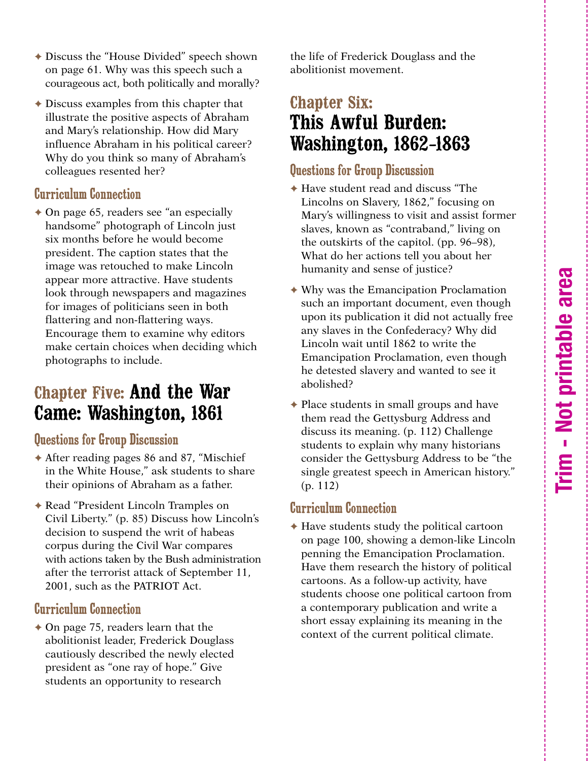- ✦ Discuss the "House Divided" speech shown on page 61. Why was this speech such a courageous act, both politically and morally?
- $\triangle$  Discuss examples from this chapter that illustrate the positive aspects of Abraham and Mary's relationship. How did Mary influence Abraham in his political career? Why do you think so many of Abraham's colleagues resented her?

#### Curriculum Connection

 $\triangle$  On page 65, readers see "an especially handsome" photograph of Lincoln just six months before he would become president. The caption states that the image was retouched to make Lincoln appear more attractive. Have students look through newspapers and magazines for images of politicians seen in both flattering and non-flattering ways. Encourage them to examine why editors make certain choices when deciding which photographs to include.

## **Chapter Five: And the War Came: Washington, 1861**

#### Questions for Group Discussion

- ✦ After reading pages 86 and 87, "Mischief in the White House," ask students to share their opinions of Abraham as a father.
- ✦ Read "President Lincoln Tramples on Civil Liberty." (p. 85) Discuss how Lincoln's decision to suspend the writ of habeas corpus during the Civil War compares with actions taken by the Bush administration after the terrorist attack of September 11, 2001, such as the PATRIOT Act.

#### Curriculum Connection

 $\triangle$  On page 75, readers learn that the abolitionist leader, Frederick Douglass cautiously described the newly elected president as "one ray of hope." Give students an opportunity to research

the life of Frederick Douglass and the abolitionist movement.

## **Chapter Six: This Awful Burden: Washington, 1862***–***1863**

#### Questions for Group Discussion

- ✦ Have student read and discuss "The Lincolns on Slavery, 1862," focusing on Mary's willingness to visit and assist former slaves, known as "contraband," living on the outskirts of the capitol. (pp. 96–98), What do her actions tell you about her humanity and sense of justice?
- ✦ Why was the Emancipation Proclamation such an important document, even though upon its publication it did not actually free any slaves in the Confederacy? Why did Lincoln wait until 1862 to write the Emancipation Proclamation, even though he detested slavery and wanted to see it abolished?
- ✦ Place students in small groups and have them read the Gettysburg Address and discuss its meaning. (p. 112) Challenge students to explain why many historians consider the Gettysburg Address to be "the single greatest speech in American history." (p. 112)

#### Curriculum Connection

 $\triangle$  Have students study the political cartoon on page 100, showing a demon-like Lincoln penning the Emancipation Proclamation. Have them research the history of political cartoons. As a follow-up activity, have students choose one political cartoon from a contemporary publication and write a short essay explaining its meaning in the context of the current political climate.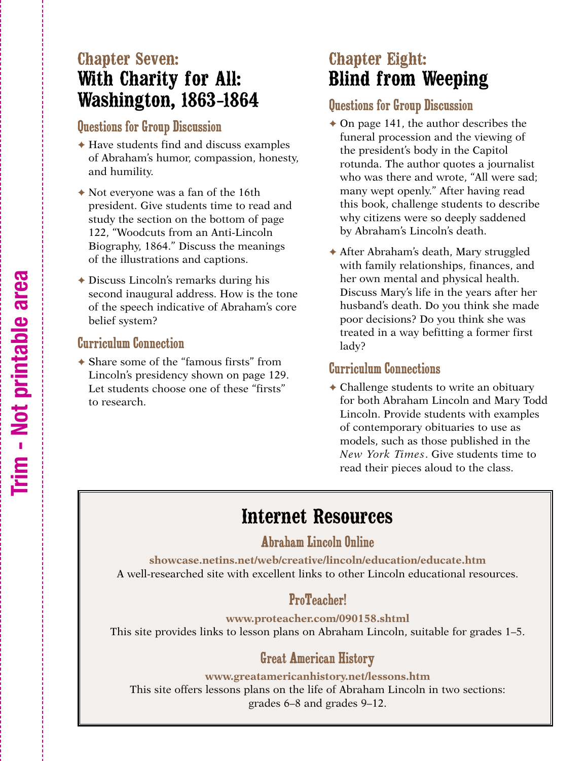## **Chapter Seven: With Charity for All: Washington, 1863***–***1864**

#### Questions for Group Discussion

- ✦ Have students find and discuss examples of Abraham's humor, compassion, honesty, and humility.
- ✦ Not everyone was a fan of the 16th president. Give students time to read and study the section on the bottom of page 122, "Woodcuts from an Anti-Lincoln Biography, 1864." Discuss the meanings of the illustrations and captions.
- ✦ Discuss Lincoln's remarks during his second inaugural address. How is the tone of the speech indicative of Abraham's core belief system?

#### Curriculum Connection

✦ Share some of the "famous firsts" from Lincoln's presidency shown on page 129. Let students choose one of these "firsts" to research.

## **Chapter Eight: Blind from Weeping**

#### Questions for Group Discussion

- $\triangle$  On page 141, the author describes the funeral procession and the viewing of the president's body in the Capitol rotunda. The author quotes a journalist who was there and wrote, "All were sad; many wept openly." After having read this book, challenge students to describe why citizens were so deeply saddened by Abraham's Lincoln's death.
- ✦ After Abraham's death, Mary struggled with family relationships, finances, and her own mental and physical health. Discuss Mary's life in the years after her husband's death. Do you think she made poor decisions? Do you think she was treated in a way befitting a former first lady?

#### Curriculum Connections

✦ Challenge students to write an obituary for both Abraham Lincoln and Mary Todd Lincoln. Provide students with examples of contemporary obituaries to use as models, such as those published in the *New York Times*. Give students time to read their pieces aloud to the class.

## **Internet Resources**

#### Abraham Lincoln Online

**showcase.netins.net/web/creative/lincoln/education/educate.htm** A well-researched site with excellent links to other Lincoln educational resources.

#### ProTeacher!

**www.proteacher.com/090158.shtml** This site provides links to lesson plans on Abraham Lincoln, suitable for grades 1–5.

#### Great American History

#### **www.greatamericanhistory.net/lessons.htm**

This site offers lessons plans on the life of Abraham Lincoln in two sections: grades 6–8 and grades 9–12.